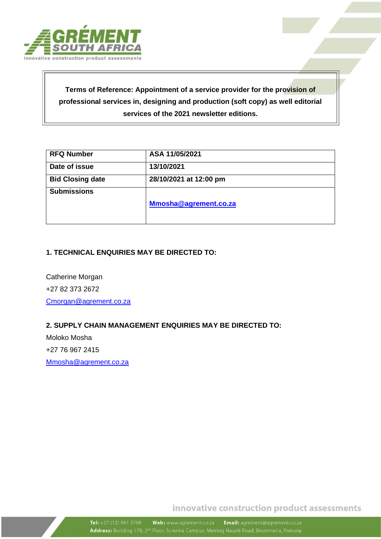

**Terms of Reference: Appointment of a service provider for the provision of professional services in, designing and production (soft copy) as well editorial services of the 2021 newsletter editions.**

| <b>RFQ Number</b>       | ASA 11/05/2021         |
|-------------------------|------------------------|
| Date of issue           | 13/10/2021             |
| <b>Bid Closing date</b> | 28/10/2021 at 12:00 pm |
| <b>Submissions</b>      |                        |
|                         | Mmosha@agrement.co.za  |
|                         |                        |

## **1. TECHNICAL ENQUIRIES MAY BE DIRECTED TO:**

Catherine Morgan +27 82 373 2672 <Cmorgan@agrement.co.za>

#### **2. SUPPLY CHAIN MANAGEMENT ENQUIRIES MAY BE DIRECTED TO:**

Moloko Mosha +27 76 967 2415 <Mmosha@agrement.co.za>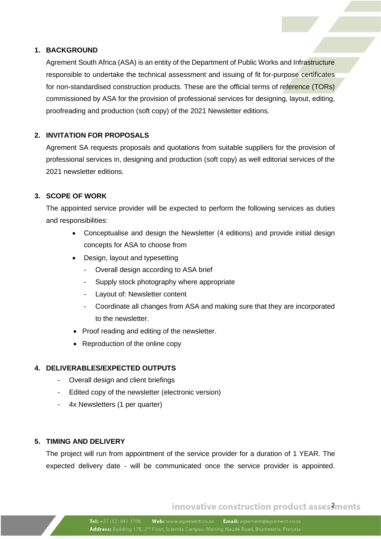### **1. BACKGROUND**

Agrement South Africa (ASA) is an entity of the Department of Public Works and Infrastructure responsible to undertake the technical assessment and issuing of fit for-purpose certificates for non-standardised construction products. These are the official terms of reference (TORs) commissioned by ASA for the provision of professional services for designing, layout, editing, proofreading and production (soft copy) of the 2021 Newsletter editions.

## **2. INVITATION FOR PROPOSALS**

Agrement SA requests proposals and quotations from suitable suppliers for the provision of professional services in, designing and production (soft copy) as well editorial services of the 2021 newsletter editions.

### **3. SCOPE OF WORK**

The appointed service provider will be expected to perform the following services as duties and responsibilities:

- Conceptualise and design the Newsletter (4 editions) and provide initial design concepts for ASA to choose from
- Design, layout and typesetting
	- Overall design according to ASA brief
	- Supply stock photography where appropriate
	- Layout of: Newsletter content
	- Coordinate all changes from ASA and making sure that they are incorporated to the newsletter.
- Proof reading and editing of the newsletter.
- Reproduction of the online copy

## **4. DELIVERABLES/EXPECTED OUTPUTS**

- Overall design and client briefings
- Edited copy of the newsletter (electronic version)
- 4x Newsletters (1 per quarter)

#### **5. TIMING AND DELIVERY**

The project will run from appointment of the service provider for a duration of 1 YEAR. The expected delivery date - will be communicated once the service provider is appointed.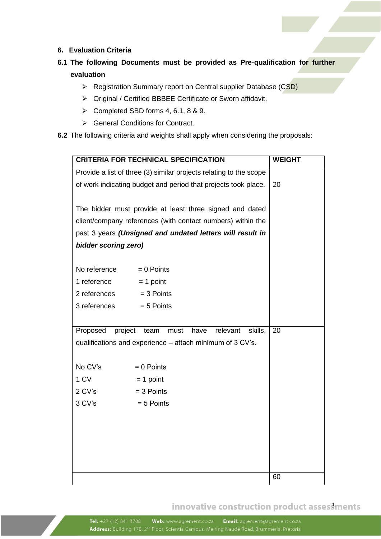#### **6. Evaluation Criteria**

# **6.1 The following Documents must be provided as Pre-qualification for further evaluation**

- ➢ Registration Summary report on Central supplier Database (CSD)
- ➢ Original / Certified BBBEE Certificate or Sworn affidavit.
- ➢ Completed SBD forms 4, 6.1, 8 & 9.
- ➢ General Conditions for Contract.
- **6.2** The following criteria and weights shall apply when considering the proposals:

|                                                           | <b>CRITERIA FOR TECHNICAL SPECIFICATION</b>                        |    |  |
|-----------------------------------------------------------|--------------------------------------------------------------------|----|--|
|                                                           | Provide a list of three (3) similar projects relating to the scope |    |  |
|                                                           | of work indicating budget and period that projects took place.     | 20 |  |
|                                                           |                                                                    |    |  |
|                                                           | The bidder must provide at least three signed and dated            |    |  |
|                                                           | client/company references (with contact numbers) within the        |    |  |
|                                                           | past 3 years (Unsigned and undated letters will result in          |    |  |
| bidder scoring zero)                                      |                                                                    |    |  |
|                                                           |                                                                    |    |  |
| No reference                                              | $= 0$ Points                                                       |    |  |
| 1 reference                                               | $= 1$ point                                                        |    |  |
| 2 references                                              | $= 3$ Points                                                       |    |  |
| 3 references                                              | $= 5$ Points                                                       |    |  |
|                                                           |                                                                    |    |  |
| Proposed<br>project                                       | 20                                                                 |    |  |
| qualifications and experience – attach minimum of 3 CV's. |                                                                    |    |  |
|                                                           |                                                                    |    |  |
| No CV's                                                   | $= 0$ Points                                                       |    |  |
| 1 CV                                                      | $= 1$ point                                                        |    |  |
| 2 CV's                                                    | $=$ 3 Points                                                       |    |  |
| 3 CV's                                                    | $= 5$ Points                                                       |    |  |
|                                                           |                                                                    |    |  |
|                                                           |                                                                    |    |  |
|                                                           |                                                                    |    |  |
|                                                           |                                                                    |    |  |
|                                                           |                                                                    |    |  |
|                                                           |                                                                    | 60 |  |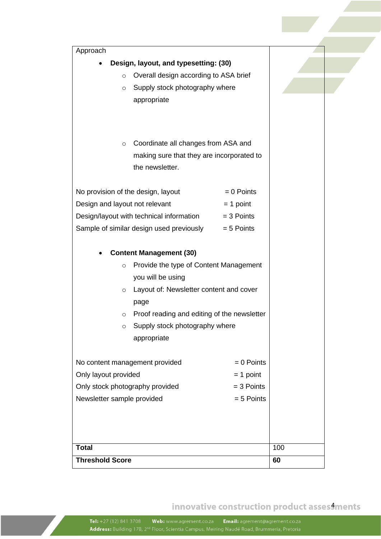| Approach                                         |                                             |     |  |
|--------------------------------------------------|---------------------------------------------|-----|--|
| Design, layout, and typesetting: (30)            |                                             |     |  |
| Overall design according to ASA brief<br>$\circ$ |                                             |     |  |
| O                                                | Supply stock photography where              |     |  |
| appropriate                                      |                                             |     |  |
| Coordinate all changes from ASA and<br>$\circ$   |                                             |     |  |
|                                                  | making sure that they are incorporated to   |     |  |
| the newsletter.                                  |                                             |     |  |
| No provision of the design, layout               | $= 0$ Points                                |     |  |
| Design and layout not relevant                   | $= 1$ point                                 |     |  |
| Design/layout with technical information         | $= 3$ Points                                |     |  |
| Sample of similar design used previously         | $= 5$ Points                                |     |  |
| <b>Content Management (30)</b>                   |                                             |     |  |
| $\circ$                                          | Provide the type of Content Management      |     |  |
| you will be using                                |                                             |     |  |
| $\circ$                                          | Layout of: Newsletter content and cover     |     |  |
| page                                             |                                             |     |  |
| $\circ$                                          | Proof reading and editing of the newsletter |     |  |
| Supply stock photography where<br>$\circ$        |                                             |     |  |
| appropriate                                      |                                             |     |  |
| No content management provided                   | $= 0$ Points                                |     |  |
| Only layout provided                             | $= 1$ point                                 |     |  |
| Only stock photography provided                  | $=$ 3 Points                                |     |  |
| Newsletter sample provided                       | $= 5$ Points                                |     |  |
|                                                  |                                             |     |  |
| <b>Total</b>                                     |                                             | 100 |  |
| <b>Threshold Score</b>                           | 60                                          |     |  |